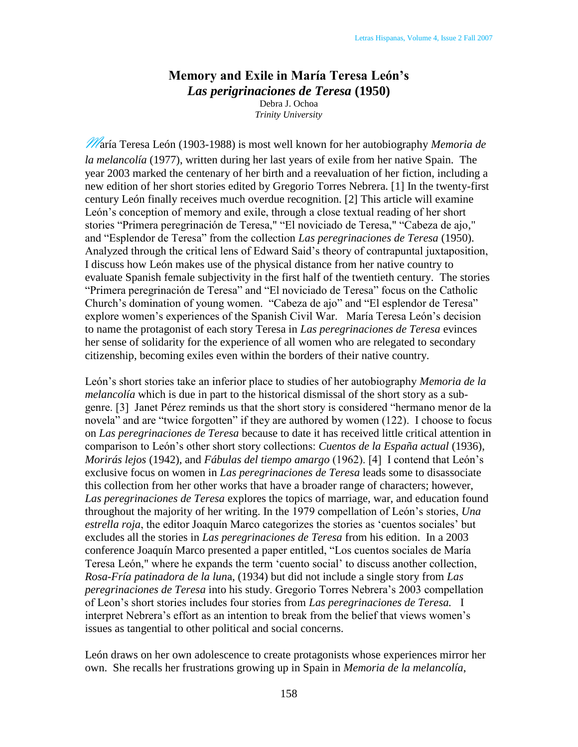## **Memory and Exile in María Teresa León's**  *Las perigrinaciones de Teresa* **(1950)**

Debra J. Ochoa *Trinity University*

María Teresa León (1903-1988) is most well known for her autobiography *Memoria de la melancolía* (1977), written during her last years of exile from her native Spain. The year 2003 marked the centenary of her birth and a reevaluation of her fiction, including a new edition of her short stories edited by Gregorio Torres Nebrera. [1] In the twenty-first century León finally receives much overdue recognition. [2] This article will examine León's conception of memory and exile, through a close textual reading of her short stories "Primera peregrinación de Teresa," "El noviciado de Teresa," "Cabeza de ajo," and "Esplendor de Teresa" from the collection *Las peregrinaciones de Teresa* (1950). Analyzed through the critical lens of Edward Said's theory of contrapuntal juxtaposition, I discuss how León makes use of the physical distance from her native country to evaluate Spanish female subjectivity in the first half of the twentieth century. The stories "Primera peregrinación de Teresa" and "El noviciado de Teresa" focus on the Catholic Church's domination of young women. "Cabeza de ajo" and "El esplendor de Teresa" explore women's experiences of the Spanish Civil War. María Teresa León's decision to name the protagonist of each story Teresa in *Las peregrinaciones de Teresa* evinces her sense of solidarity for the experience of all women who are relegated to secondary citizenship, becoming exiles even within the borders of their native country.

León's short stories take an inferior place to studies of her autobiography *Memoria de la melancolía* which is due in part to the historical dismissal of the short story as a subgenre. [3] Janet Pérez reminds us that the short story is considered "hermano menor de la novela" and are "twice forgotten" if they are authored by women (122). I choose to focus on *Las peregrinaciones de Teresa* because to date it has received little critical attention in comparison to León's other short story collections: *Cuentos de la España actual* (1936), *Morirás lejos* (1942), and *Fábulas del tiempo amargo* (1962). [4] I contend that León's exclusive focus on women in *Las peregrinaciones de Teresa* leads some to disassociate this collection from her other works that have a broader range of characters; however, *Las peregrinaciones de Teresa* explores the topics of marriage, war, and education found throughout the majority of her writing. In the 1979 compellation of León's stories, *Una estrella roja*, the editor Joaquín Marco categorizes the stories as 'cuentos sociales' but excludes all the stories in *Las peregrinaciones de Teresa* from his edition. In a 2003 conference Joaquín Marco presented a paper entitled, "Los cuentos sociales de María Teresa León," where he expands the term 'cuento social' to discuss another collection, *Rosa-Fría patinadora de la lun*a, (1934) but did not include a single story from *Las peregrinaciones de Teresa* into his study. Gregorio Torres Nebrera's 2003 compellation of Leon's short stories includes four stories from *Las peregrinaciones de Teresa.* I interpret Nebrera's effort as an intention to break from the belief that views women's issues as tangential to other political and social concerns.

León draws on her own adolescence to create protagonists whose experiences mirror her own. She recalls her frustrations growing up in Spain in *Memoria de la melancolía*,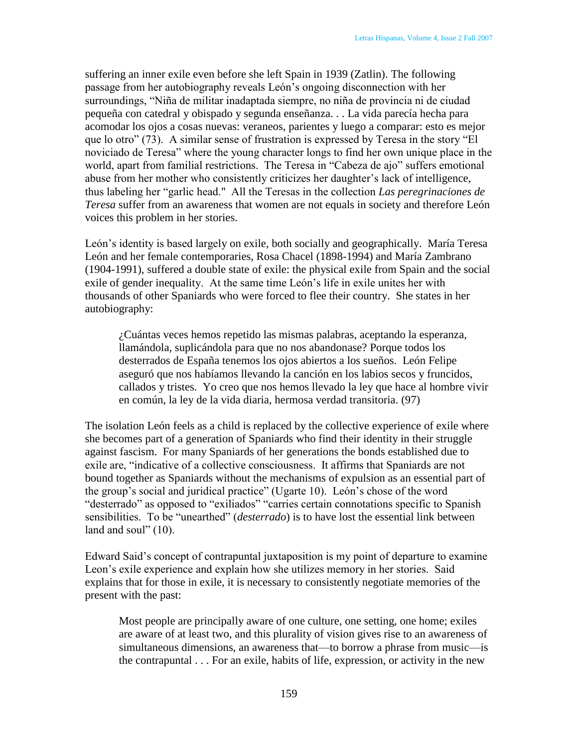suffering an inner exile even before she left Spain in 1939 (Zatlin). The following passage from her autobiography reveals León's ongoing disconnection with her surroundings, "Niña de militar inadaptada siempre, no niña de provincia ni de ciudad pequeña con catedral y obispado y segunda enseñanza. . . La vida parecía hecha para acomodar los ojos a cosas nuevas: veraneos, parientes y luego a comparar: esto es mejor que lo otro" (73). A similar sense of frustration is expressed by Teresa in the story "El noviciado de Teresa" where the young character longs to find her own unique place in the world, apart from familial restrictions. The Teresa in "Cabeza de ajo" suffers emotional abuse from her mother who consistently criticizes her daughter's lack of intelligence, thus labeling her "garlic head." All the Teresas in the collection *Las peregrinaciones de Teresa* suffer from an awareness that women are not equals in society and therefore León voices this problem in her stories.

León's identity is based largely on exile, both socially and geographically. María Teresa León and her female contemporaries, Rosa Chacel (1898-1994) and María Zambrano (1904-1991), suffered a double state of exile: the physical exile from Spain and the social exile of gender inequality. At the same time León's life in exile unites her with thousands of other Spaniards who were forced to flee their country. She states in her autobiography:

¿Cuántas veces hemos repetido las mismas palabras, aceptando la esperanza, llamándola, suplicándola para que no nos abandonase? Porque todos los desterrados de España tenemos los ojos abiertos a los sueños. León Felipe aseguró que nos habíamos llevando la canción en los labios secos y fruncidos, callados y tristes. Yo creo que nos hemos llevado la ley que hace al hombre vivir en común, la ley de la vida diaria, hermosa verdad transitoria. (97)

The isolation León feels as a child is replaced by the collective experience of exile where she becomes part of a generation of Spaniards who find their identity in their struggle against fascism. For many Spaniards of her generations the bonds established due to exile are, "indicative of a collective consciousness. It affirms that Spaniards are not bound together as Spaniards without the mechanisms of expulsion as an essential part of the group's social and juridical practice" (Ugarte 10). León's chose of the word "desterrado" as opposed to "exiliados" "carries certain connotations specific to Spanish sensibilities. To be "unearthed" (*desterrado*) is to have lost the essential link between land and soul"  $(10)$ .

Edward Said's concept of contrapuntal juxtaposition is my point of departure to examine Leon's exile experience and explain how she utilizes memory in her stories. Said explains that for those in exile, it is necessary to consistently negotiate memories of the present with the past:

Most people are principally aware of one culture, one setting, one home; exiles are aware of at least two, and this plurality of vision gives rise to an awareness of simultaneous dimensions, an awareness that—to borrow a phrase from music—is the contrapuntal . . . For an exile, habits of life, expression, or activity in the new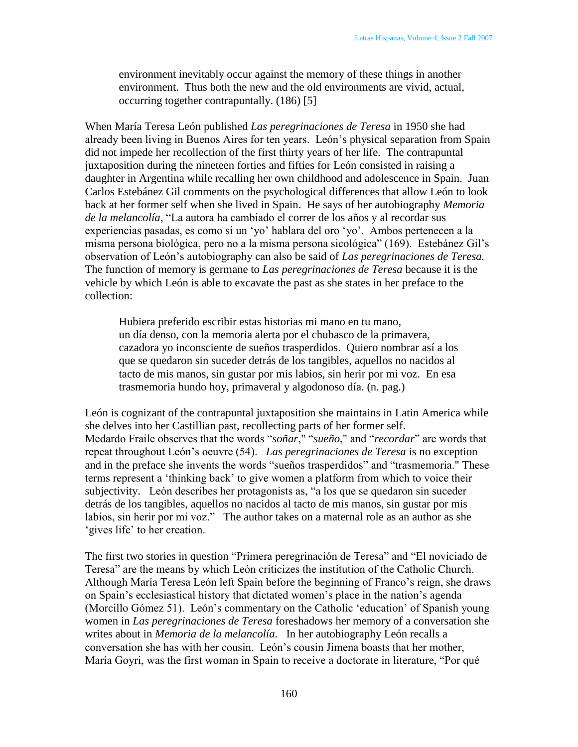environment inevitably occur against the memory of these things in another environment. Thus both the new and the old environments are vivid, actual, occurring together contrapuntally. (186) [5]

When María Teresa León published *Las peregrinaciones de Teresa* in 1950 she had already been living in Buenos Aires for ten years. León's physical separation from Spain did not impede her recollection of the first thirty years of her life. The contrapuntal juxtaposition during the nineteen forties and fifties for León consisted in raising a daughter in Argentina while recalling her own childhood and adolescence in Spain. Juan Carlos Estebánez Gil comments on the psychological differences that allow León to look back at her former self when she lived in Spain. He says of her autobiography *Memoria*  de la melancolía, "La autora ha cambiado el correr de los años y al recordar sus experiencias pasadas, es como si un 'yo' hablara del oro 'yo'. Ambos pertenecen a la misma persona biológica, pero no a la misma persona sicológica" (169). Estebánez Gil's observation of León's autobiography can also be said of *Las peregrinaciones de Teresa.*  The function of memory is germane to *Las peregrinaciones de Teresa* because it is the vehicle by which León is able to excavate the past as she states in her preface to the collection:

Hubiera preferido escribir estas historias mi mano en tu mano, un día denso, con la memoria alerta por el chubasco de la primavera, cazadora yo inconsciente de sueños trasperdidos. Quiero nombrar así a los que se quedaron sin suceder detrás de los tangibles, aquellos no nacidos al tacto de mis manos, sin gustar por mis labios, sin herir por mi voz. En esa trasmemoria hundo hoy, primaveral y algodonoso día. (n. pag.)

León is cognizant of the contrapuntal juxtaposition she maintains in Latin America while she delves into her Castillian past, recollecting parts of her former self. Medardo Fraile observes that the words "soñar," "sueño," and "recordar" are words that repeat throughout León's oeuvre (54). *Las peregrinaciones de Teresa* is no exception and in the preface she invents the words "sueños trasperdidos" and "trasmemoria." These terms represent a 'thinking back' to give women a platform from which to voice their subjectivity. León describes her protagonists as, "a los que se quedaron sin suceder detrás de los tangibles, aquellos no nacidos al tacto de mis manos, sin gustar por mis labios, sin herir por mi voz." The author takes on a maternal role as an author as she 'gives life' to her creation.

The first two stories in question "Primera peregrinación de Teresa" and "El noviciado de Teresa" are the means by which León criticizes the institution of the Catholic Church. Although María Teresa León left Spain before the beginning of Franco's reign, she draws on Spain's ecclesiastical history that dictated women's place in the nation's agenda (Morcillo Gómez 51). León's commentary on the Catholic ‗education' of Spanish young women in *Las peregrinaciones de Teresa* foreshadows her memory of a conversation she writes about in *Memoria de la melancolía*. In her autobiography León recalls a conversation she has with her cousin. León's cousin Jimena boasts that her mother, María Goyri, was the first woman in Spain to receive a doctorate in literature, "Por qué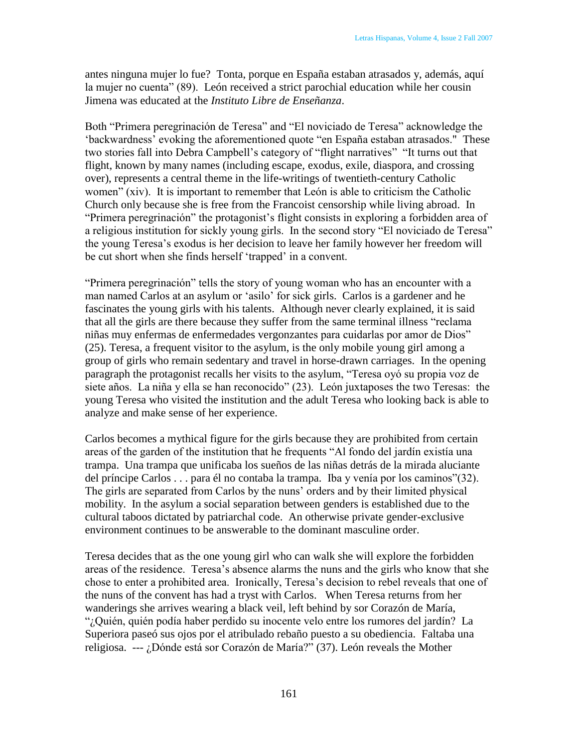antes ninguna mujer lo fue? Tonta, porque en España estaban atrasados y, además, aquí la mujer no cuenta" (89). León received a strict parochial education while her cousin Jimena was educated at the *Instituto Libre de Enseñanza*.

Both "Primera peregrinación de Teresa" and "El noviciado de Teresa" acknowledge the 'backwardness' evoking the aforementioned quote "en España estaban atrasados." These two stories fall into Debra Campbell's category of "flight narratives" "It turns out that flight, known by many names (including escape, exodus, exile, diaspora, and crossing over), represents a central theme in the life-writings of twentieth-century Catholic women" (xiv). It is important to remember that León is able to criticism the Catholic Church only because she is free from the Francoist censorship while living abroad. In "Primera peregrinación" the protagonist's flight consists in exploring a forbidden area of a religious institution for sickly young girls. In the second story "El noviciado de Teresa" the young Teresa's exodus is her decision to leave her family however her freedom will be cut short when she finds herself 'trapped' in a convent.

―Primera peregrinación‖ tells the story of young woman who has an encounter with a man named Carlos at an asylum or 'asilo' for sick girls. Carlos is a gardener and he fascinates the young girls with his talents. Although never clearly explained, it is said that all the girls are there because they suffer from the same terminal illness "reclama niñas muy enfermas de enfermedades vergonzantes para cuidarlas por amor de Dios" (25). Teresa, a frequent visitor to the asylum, is the only mobile young girl among a group of girls who remain sedentary and travel in horse-drawn carriages. In the opening paragraph the protagonist recalls her visits to the asylum, "Teresa oyó su propia voz de siete años. La niña y ella se han reconocido" (23). León juxtaposes the two Teresas: the young Teresa who visited the institution and the adult Teresa who looking back is able to analyze and make sense of her experience.

Carlos becomes a mythical figure for the girls because they are prohibited from certain areas of the garden of the institution that he frequents "Al fondo del jardín existía una trampa. Una trampa que unificaba los sueños de las niñas detrás de la mirada aluciante del príncipe Carlos  $\ldots$  para él no contaba la trampa. Iba y venía por los caminos"(32). The girls are separated from Carlos by the nuns' orders and by their limited physical mobility. In the asylum a social separation between genders is established due to the cultural taboos dictated by patriarchal code. An otherwise private gender-exclusive environment continues to be answerable to the dominant masculine order.

Teresa decides that as the one young girl who can walk she will explore the forbidden areas of the residence. Teresa's absence alarms the nuns and the girls who know that she chose to enter a prohibited area. Ironically, Teresa's decision to rebel reveals that one of the nuns of the convent has had a tryst with Carlos. When Teresa returns from her wanderings she arrives wearing a black veil, left behind by sor Corazón de María, ―¿Quién, quién podía haber perdido su inocente velo entre los rumores del jardín? La Superiora paseó sus ojos por el atribulado rebaño puesto a su obediencia. Faltaba una religiosa.  $-$ -- ¿Dónde está sor Corazón de María?" (37). León reveals the Mother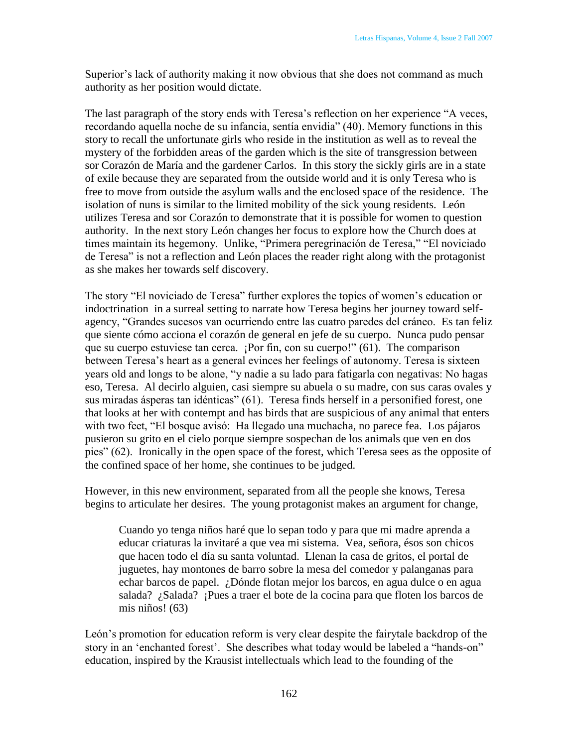Superior's lack of authority making it now obvious that she does not command as much authority as her position would dictate.

The last paragraph of the story ends with Teresa's reflection on her experience "A veces, recordando aquella noche de su infancia, sentía envidia" (40). Memory functions in this story to recall the unfortunate girls who reside in the institution as well as to reveal the mystery of the forbidden areas of the garden which is the site of transgression between sor Corazón de María and the gardener Carlos. In this story the sickly girls are in a state of exile because they are separated from the outside world and it is only Teresa who is free to move from outside the asylum walls and the enclosed space of the residence. The isolation of nuns is similar to the limited mobility of the sick young residents. León utilizes Teresa and sor Corazón to demonstrate that it is possible for women to question authority. In the next story León changes her focus to explore how the Church does at times maintain its hegemony. Unlike, "Primera peregrinación de Teresa," "El noviciado de Teresa" is not a reflection and León places the reader right along with the protagonist as she makes her towards self discovery.

The story "El noviciado de Teresa" further explores the topics of women's education or indoctrination in a surreal setting to narrate how Teresa begins her journey toward selfagency, "Grandes sucesos van ocurriendo entre las cuatro paredes del cráneo. Es tan feliz que siente cómo acciona el corazón de general en jefe de su cuerpo. Nunca pudo pensar que su cuerpo estuviese tan cerca. ¡Por fin, con su cuerpo!" (61). The comparison between Teresa's heart as a general evinces her feelings of autonomy. Teresa is sixteen years old and longs to be alone, "y nadie a su lado para fatigarla con negativas: No hagas eso, Teresa. Al decirlo alguien, casi siempre su abuela o su madre, con sus caras ovales y sus miradas ásperas tan idénticas" (61). Teresa finds herself in a personified forest, one that looks at her with contempt and has birds that are suspicious of any animal that enters with two feet, "El bosque avisó: Ha llegado una muchacha, no parece fea. Los pájaros pusieron su grito en el cielo porque siempre sospechan de los animals que ven en dos pies" (62). Ironically in the open space of the forest, which Teresa sees as the opposite of the confined space of her home, she continues to be judged.

However, in this new environment, separated from all the people she knows, Teresa begins to articulate her desires. The young protagonist makes an argument for change,

Cuando yo tenga niños haré que lo sepan todo y para que mi madre aprenda a educar criaturas la invitaré a que vea mi sistema. Vea, señora, ésos son chicos que hacen todo el día su santa voluntad. Llenan la casa de gritos, el portal de juguetes, hay montones de barro sobre la mesa del comedor y palanganas para echar barcos de papel. ¿Dónde flotan mejor los barcos, en agua dulce o en agua salada? ¿Salada? ¡Pues a traer el bote de la cocina para que floten los barcos de mis niños! (63)

León's promotion for education reform is very clear despite the fairytale backdrop of the story in an 'enchanted forest'. She describes what today would be labeled a "hands-on" education, inspired by the Krausist intellectuals which lead to the founding of the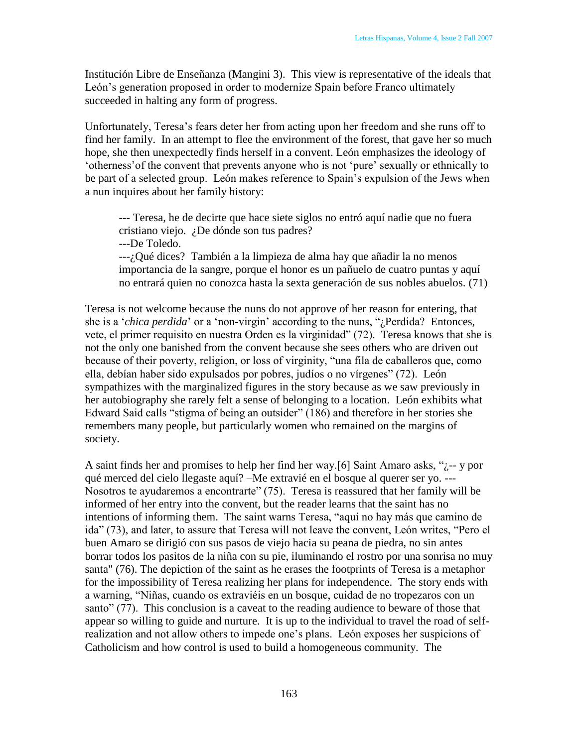Institución Libre de Enseñanza (Mangini 3). This view is representative of the ideals that León's generation proposed in order to modernize Spain before Franco ultimately succeeded in halting any form of progress.

Unfortunately, Teresa's fears deter her from acting upon her freedom and she runs off to find her family. In an attempt to flee the environment of the forest, that gave her so much hope, she then unexpectedly finds herself in a convent. León emphasizes the ideology of ‗otherness'of the convent that prevents anyone who is not ‗pure' sexually or ethnically to be part of a selected group. León makes reference to Spain's expulsion of the Jews when a nun inquires about her family history:

--- Teresa, he de decirte que hace siete siglos no entró aquí nadie que no fuera cristiano viejo. ¿De dónde son tus padres?

---De Toledo.

---¿Qué dices? También a la limpieza de alma hay que añadir la no menos importancia de la sangre, porque el honor es un pañuelo de cuatro puntas y aquí no entrará quien no conozca hasta la sexta generación de sus nobles abuelos. (71)

Teresa is not welcome because the nuns do not approve of her reason for entering, that she is a *'chica perdida'* or a 'non-virgin' according to the nuns, "*i*Perdida? Entonces, vete, el primer requisito en nuestra Orden es la virginidad" (72). Teresa knows that she is not the only one banished from the convent because she sees others who are driven out because of their poverty, religion, or loss of virginity, "una fila de caballeros que, como ella, debían haber sido expulsados por pobres, judíos o no vírgenes" (72). León sympathizes with the marginalized figures in the story because as we saw previously in her autobiography she rarely felt a sense of belonging to a location. León exhibits what Edward Said calls "stigma of being an outsider" (186) and therefore in her stories she remembers many people, but particularly women who remained on the margins of society.

A saint finds her and promises to help her find her way.[6] Saint Amaro asks, " $i$ -- y por qué merced del cielo llegaste aquí? –Me extravié en el bosque al querer ser yo. --- Nosotros te ayudaremos a encontrarte" (75). Teresa is reassured that her family will be informed of her entry into the convent, but the reader learns that the saint has no intentions of informing them. The saint warns Teresa, "aquí no hay más que camino de ida" (73), and later, to assure that Teresa will not leave the convent, León writes, "Pero el buen Amaro se dirigió con sus pasos de viejo hacia su peana de piedra, no sin antes borrar todos los pasitos de la niña con su pie, iluminando el rostro por una sonrisa no muy santa" (76). The depiction of the saint as he erases the footprints of Teresa is a metaphor for the impossibility of Teresa realizing her plans for independence. The story ends with a warning, "Niñas, cuando os extraviéis en un bosque, cuidad de no tropezaros con un santo" (77). This conclusion is a caveat to the reading audience to beware of those that appear so willing to guide and nurture. It is up to the individual to travel the road of selfrealization and not allow others to impede one's plans. León exposes her suspicions of Catholicism and how control is used to build a homogeneous community. The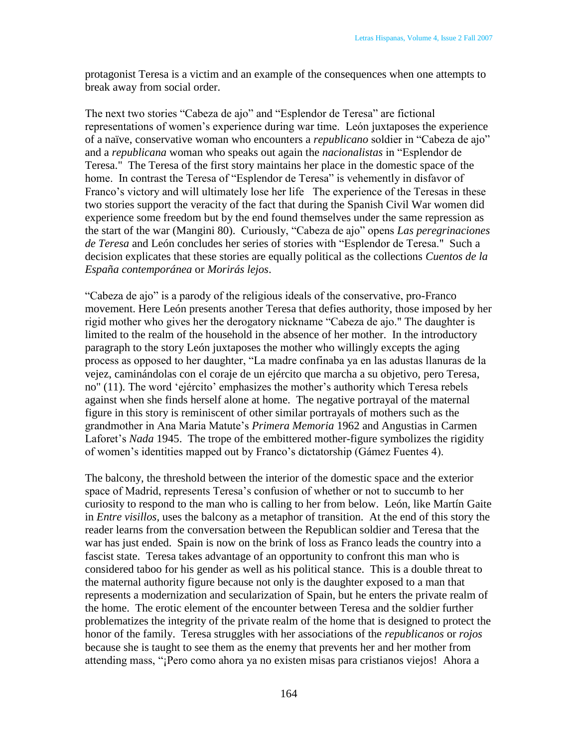protagonist Teresa is a victim and an example of the consequences when one attempts to break away from social order.

The next two stories "Cabeza de ajo" and "Esplendor de Teresa" are fictional representations of women's experience during war time. León juxtaposes the experience of a naïve, conservative woman who encounters a *republicano* soldier in "Cabeza de ajo" and a *republicana* woman who speaks out again the *nacionalistas* in "Esplendor de Teresa." The Teresa of the first story maintains her place in the domestic space of the home. In contrast the Teresa of "Esplendor de Teresa" is vehemently in disfavor of Franco's victory and will ultimately lose her life The experience of the Teresas in these two stories support the veracity of the fact that during the Spanish Civil War women did experience some freedom but by the end found themselves under the same repression as the start of the war (Mangini 80). Curiously, "Cabeza de ajo" opens *Las peregrinaciones de Teresa* and León concludes her series of stories with "Esplendor de Teresa." Such a decision explicates that these stories are equally political as the collections *Cuentos de la España contemporánea* or *Morirás lejos*.

"Cabeza de ajo" is a parody of the religious ideals of the conservative, pro-Franco movement. Here León presents another Teresa that defies authority, those imposed by her rigid mother who gives her the derogatory nickname "Cabeza de ajo." The daughter is limited to the realm of the household in the absence of her mother. In the introductory paragraph to the story León juxtaposes the mother who willingly excepts the aging process as opposed to her daughter, "La madre confinaba ya en las adustas llanuras de la vejez, caminándolas con el coraje de un ejército que marcha a su objetivo, pero Teresa, no" (11). The word 'ejército' emphasizes the mother's authority which Teresa rebels against when she finds herself alone at home. The negative portrayal of the maternal figure in this story is reminiscent of other similar portrayals of mothers such as the grandmother in Ana Maria Matute's *Primera Memoria* 1962 and Angustias in Carmen Laforet's *Nada* 1945. The trope of the embittered mother-figure symbolizes the rigidity of women's identities mapped out by Franco's dictatorship (Gámez Fuentes 4).

The balcony, the threshold between the interior of the domestic space and the exterior space of Madrid, represents Teresa's confusion of whether or not to succumb to her curiosity to respond to the man who is calling to her from below. León, like Martín Gaite in *Entre visillos,* uses the balcony as a metaphor of transition. At the end of this story the reader learns from the conversation between the Republican soldier and Teresa that the war has just ended. Spain is now on the brink of loss as Franco leads the country into a fascist state. Teresa takes advantage of an opportunity to confront this man who is considered taboo for his gender as well as his political stance. This is a double threat to the maternal authority figure because not only is the daughter exposed to a man that represents a modernization and secularization of Spain, but he enters the private realm of the home. The erotic element of the encounter between Teresa and the soldier further problematizes the integrity of the private realm of the home that is designed to protect the honor of the family. Teresa struggles with her associations of the *republicanos* or *rojos*  because she is taught to see them as the enemy that prevents her and her mother from attending mass, ―¡Pero como ahora ya no existen misas para cristianos viejos! Ahora a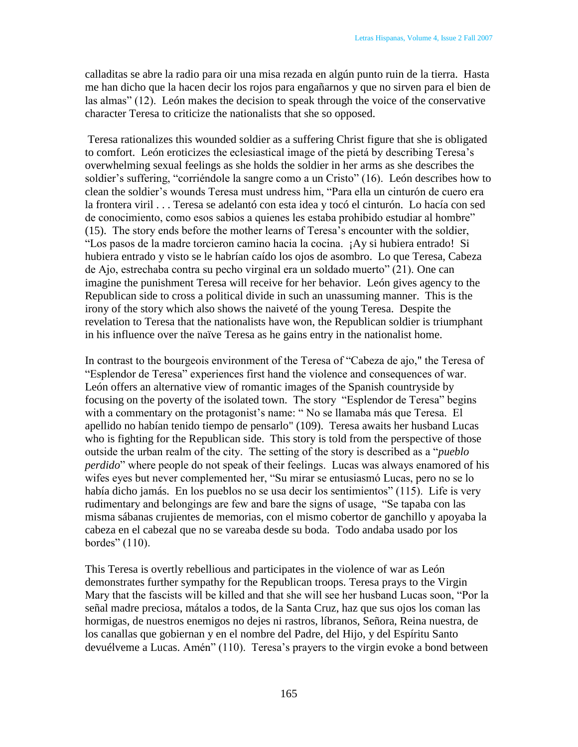calladitas se abre la radio para oir una misa rezada en algún punto ruin de la tierra. Hasta me han dicho que la hacen decir los rojos para engañarnos y que no sirven para el bien de las almas" (12). León makes the decision to speak through the voice of the conservative character Teresa to criticize the nationalists that she so opposed.

Teresa rationalizes this wounded soldier as a suffering Christ figure that she is obligated to comfort. León eroticizes the eclesiastical image of the pietá by describing Teresa's overwhelming sexual feelings as she holds the soldier in her arms as she describes the soldier's suffering, "corriéndole la sangre como a un Cristo" (16). León describes how to clean the soldier's wounds Teresa must undress him, "Para ella un cinturón de cuero era la frontera viril . . . Teresa se adelantó con esta idea y tocó el cinturón. Lo hacía con sed de conocimiento, como esos sabios a quienes les estaba prohibido estudiar al hombre" (15). The story ends before the mother learns of Teresa's encounter with the soldier, ―Los pasos de la madre torcieron camino hacia la cocina. ¡Ay si hubiera entrado! Si hubiera entrado y visto se le habrían caído los ojos de asombro. Lo que Teresa, Cabeza de Ajo, estrechaba contra su pecho virginal era un soldado muerto" (21). One can imagine the punishment Teresa will receive for her behavior. León gives agency to the Republican side to cross a political divide in such an unassuming manner. This is the irony of the story which also shows the naiveté of the young Teresa. Despite the revelation to Teresa that the nationalists have won, the Republican soldier is triumphant in his influence over the naïve Teresa as he gains entry in the nationalist home.

In contrast to the bourgeois environment of the Teresa of "Cabeza de ajo," the Teresa of ―Esplendor de Teresa‖ experiences first hand the violence and consequences of war. León offers an alternative view of romantic images of the Spanish countryside by focusing on the poverty of the isolated town. The story "Esplendor de Teresa" begins with a commentary on the protagonist's name: "No se llamaba más que Teresa. El apellido no habían tenido tiempo de pensarlo" (109). Teresa awaits her husband Lucas who is fighting for the Republican side. This story is told from the perspective of those outside the urban realm of the city. The setting of the story is described as a "*pueblo*" *perdido*" where people do not speak of their feelings. Lucas was always enamored of his wifes eyes but never complemented her, "Su mirar se entusiasmó Lucas, pero no se lo había dicho jamás. En los pueblos no se usa decir los sentimientos" (115). Life is very rudimentary and belongings are few and bare the signs of usage, "Se tapaba con las misma sábanas crujientes de memorias, con el mismo cobertor de ganchillo y apoyaba la cabeza en el cabezal que no se vareaba desde su boda. Todo andaba usado por los bordes"  $(110)$ .

This Teresa is overtly rebellious and participates in the violence of war as León demonstrates further sympathy for the Republican troops. Teresa prays to the Virgin Mary that the fascists will be killed and that she will see her husband Lucas soon, "Por la señal madre preciosa, mátalos a todos, de la Santa Cruz, haz que sus ojos los coman las hormigas, de nuestros enemigos no dejes ni rastros, líbranos, Señora, Reina nuestra, de los canallas que gobiernan y en el nombre del Padre, del Hijo, y del Espíritu Santo devuélveme a Lucas. Amén" (110). Teresa's prayers to the virgin evoke a bond between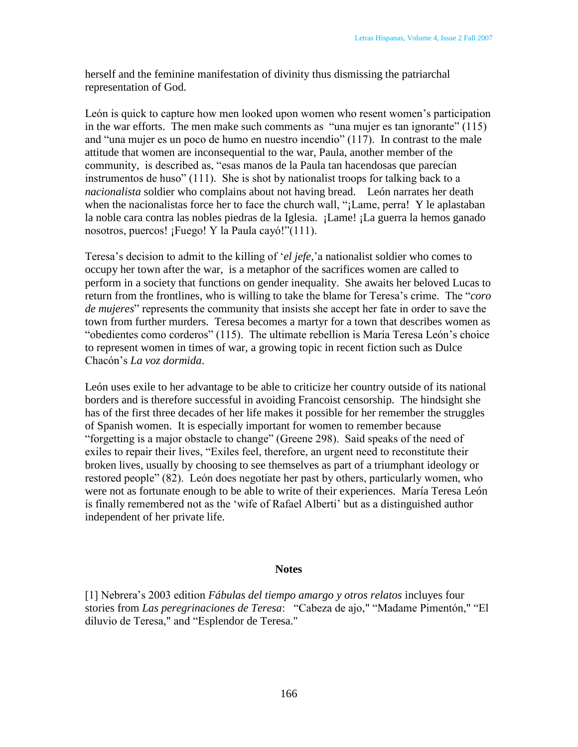herself and the feminine manifestation of divinity thus dismissing the patriarchal representation of God.

León is quick to capture how men looked upon women who resent women's participation in the war efforts. The men make such comments as "una mujer es tan ignorante"  $(115)$ and "una mujer es un poco de humo en nuestro incendio"  $(117)$ . In contrast to the male attitude that women are inconsequential to the war, Paula, another member of the community, is described as, "esas manos de la Paula tan hacendosas que parecían instrumentos de huso"  $(111)$ . She is shot by nationalist troops for talking back to a *nacionalista* soldier who complains about not having bread. León narrates her death when the nacionalistas force her to face the church wall, "¡Lame, perra! Y le aplastaban la noble cara contra las nobles piedras de la Iglesia. ¡Lame! ¡La guerra la hemos ganado nosotros, puercos! ¡Fuego! Y la Paula cayó!" $(111)$ .

Teresa's decision to admit to the killing of 'el jefe,' a nationalist soldier who comes to occupy her town after the war, is a metaphor of the sacrifices women are called to perform in a society that functions on gender inequality. She awaits her beloved Lucas to return from the frontlines, who is willing to take the blame for Teresa's crime. The "*coro*" *de mujeres*" represents the community that insists she accept her fate in order to save the town from further murders. Teresa becomes a martyr for a town that describes women as "obedientes como corderos" (115). The ultimate rebellion is María Teresa León's choice to represent women in times of war, a growing topic in recent fiction such as Dulce Chacón's *La voz dormida*.

León uses exile to her advantage to be able to criticize her country outside of its national borders and is therefore successful in avoiding Francoist censorship. The hindsight she has of the first three decades of her life makes it possible for her remember the struggles of Spanish women. It is especially important for women to remember because "forgetting is a major obstacle to change" (Greene 298). Said speaks of the need of exiles to repair their lives, "Exiles feel, therefore, an urgent need to reconstitute their broken lives, usually by choosing to see themselves as part of a triumphant ideology or restored people" (82). León does negotiate her past by others, particularly women, who were not as fortunate enough to be able to write of their experiences. María Teresa León is finally remembered not as the 'wife of Rafael Alberti' but as a distinguished author independent of her private life.

## **Notes**

[1] Nebrera's 2003 edition *Fábulas del tiempo amargo y otros relatos* incluyes four stories from *Las peregrinaciones de Teresa*: "Cabeza de ajo," "Madame Pimentón," "El diluvio de Teresa," and "Esplendor de Teresa."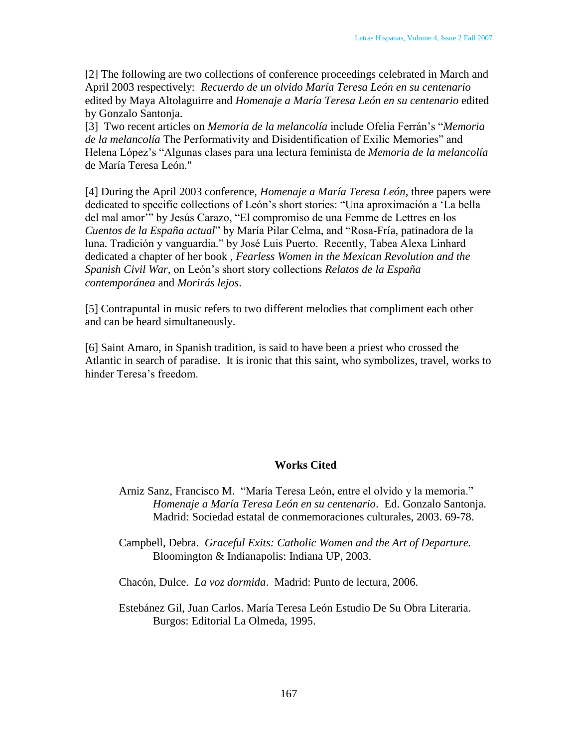[2] The following are two collections of conference proceedings celebrated in March and April 2003 respectively: *Recuerdo de un olvido María Teresa León en su centenario* edited by Maya Altolaguirre and *Homenaje a María Teresa León en su centenario* edited by Gonzalo Santonja.

[3] Two recent articles on *Memoria de la melancolía* include Ofelia Ferrán's ―*Memoria de la melancolía* The Performativity and Disidentification of Exilic Memories" and Helena López's ―Algunas clases para una lectura feminista de *Memoria de la melancolía*  de María Teresa León."

[4] During the April 2003 conference, *Homenaje a María Teresa León,* three papers were dedicated to specific collections of León's short stories: "Una aproximación a 'La bella del mal amor" by Jesús Carazo, "El compromiso de una Femme de Lettres en los *Cuentos de la España actual*" by María Pilar Celma, and "Rosa-Fría, patinadora de la luna. Tradición y vanguardia." by José Luis Puerto. Recently, Tabea Alexa Linhard dedicated a chapter of her book , *Fearless Women in the Mexican Revolution and the Spanish Civil War,* on León's short story collections *Relatos de la España contemporánea* and *Morirás lejos*.

[5] Contrapuntal in music refers to two different melodies that compliment each other and can be heard simultaneously.

[6] Saint Amaro, in Spanish tradition, is said to have been a priest who crossed the Atlantic in search of paradise. It is ironic that this saint, who symbolizes, travel, works to hinder Teresa's freedom.

## **Works Cited**

- Arniz Sanz, Francisco M. "María Teresa León, entre el olvido y la memoria." *Homenaje a María Teresa León en su centenario*. Ed. Gonzalo Santonja. Madrid: Sociedad estatal de conmemoraciones culturales, 2003. 69-78.
- Campbell, Debra. *Graceful Exits: Catholic Women and the Art of Departure.* Bloomington & Indianapolis: Indiana UP, 2003.
- Chacón, Dulce. *La voz dormida*. Madrid: Punto de lectura, 2006.
- Estebánez Gil, Juan Carlos. María Teresa León Estudio De Su Obra Literaria. Burgos: Editorial La Olmeda, 1995.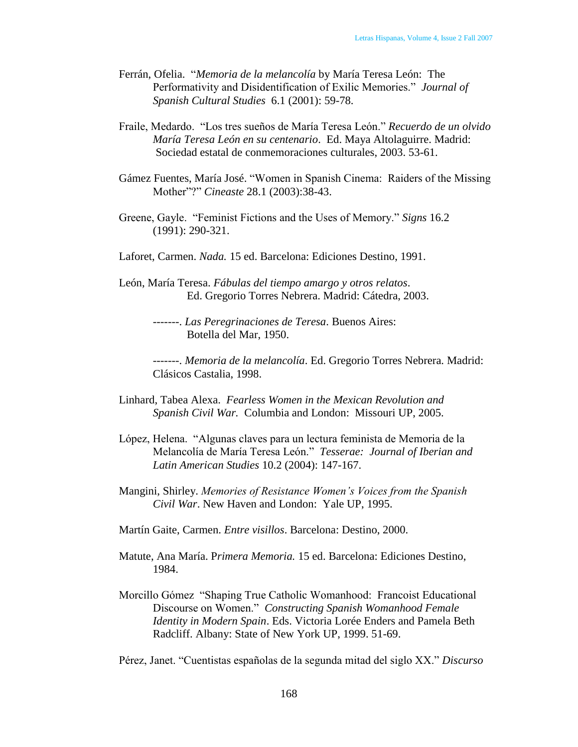- Ferrán, Ofelia. *"Memoria de la melancolía* by María Teresa León: The Performativity and Disidentification of Exilic Memories." *Journal of Spanish Cultural Studies* 6.1 (2001): 59-78.
- Fraile, Medardo. ―Los tres sueños de María Teresa León.‖ *Recuerdo de un olvido María Teresa León en su centenario*. Ed. Maya Altolaguirre. Madrid: Sociedad estatal de conmemoraciones culturales, 2003. 53-61.
- Gámez Fuentes, María José. "Women in Spanish Cinema: Raiders of the Missing Mother"?" *Cineaste* 28.1 (2003):38-43.
- Greene, Gayle. "Feminist Fictions and the Uses of Memory." *Signs* 16.2 (1991): 290-321.
- Laforet, Carmen. *Nada.* 15 ed. Barcelona: Ediciones Destino, 1991.
- León, María Teresa. *Fábulas del tiempo amargo y otros relatos*. Ed. Gregorio Torres Nebrera. Madrid: Cátedra, 2003.
	- -------. *Las Peregrinaciones de Teresa*. Buenos Aires: Botella del Mar, 1950.
	- -------. *Memoria de la melancolía*. Ed. Gregorio Torres Nebrera. Madrid: Clásicos Castalia, 1998.
- Linhard, Tabea Alexa. *Fearless Women in the Mexican Revolution and Spanish Civil War.* Columbia and London: Missouri UP, 2005.
- López, Helena. "Algunas claves para un lectura feminista de Memoria de la Melancolía de María Teresa León.‖ *Tesserae: Journal of Iberian and Latin American Studies* 10.2 (2004): 147-167.
- Mangini, Shirley. *Memories of Resistance Women's Voices from the Spanish Civil War*. New Haven and London: Yale UP, 1995.
- Martín Gaite, Carmen. *Entre visillos*. Barcelona: Destino, 2000.
- Matute, Ana María. P*rimera Memoria.* 15 ed. Barcelona: Ediciones Destino, 1984.
- Morcillo Gómez "Shaping True Catholic Womanhood: Francoist Educational Discourse on Women.‖ *Constructing Spanish Womanhood Female Identity in Modern Spain*. Eds. Victoria Lorée Enders and Pamela Beth Radcliff. Albany: State of New York UP, 1999. 51-69.

Pérez, Janet. ―Cuentistas españolas de la segunda mitad del siglo XX.‖ *Discurso*